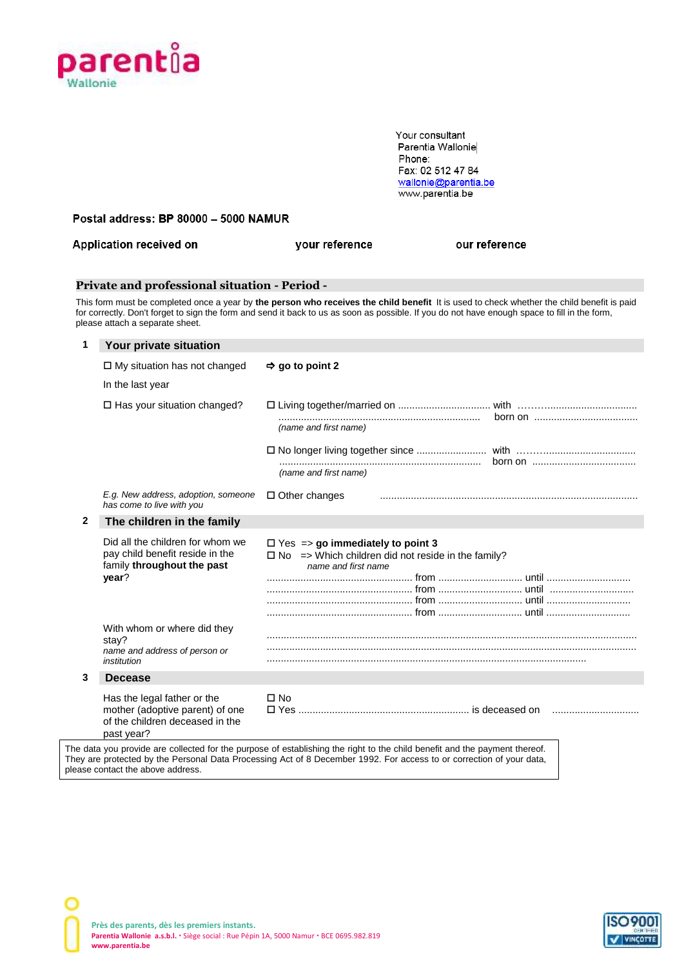

 Your consultant Parentia Wallonie Phone: Fax: 02 512 47 84 <u>wallonie@parentia.be</u> www.parentia.be

**Postal address: BP 80000 - 5000 NAMUR** 

| Application received on                                                                                                                                                                                                                                                                                                        | vour reference | our reference |  |
|--------------------------------------------------------------------------------------------------------------------------------------------------------------------------------------------------------------------------------------------------------------------------------------------------------------------------------|----------------|---------------|--|
| <b>Private and professional situation - Period -</b>                                                                                                                                                                                                                                                                           |                |               |  |
| This form must be completed once a year by the person who receives the child benefit It is used to check whether the child benefit is paid<br>for correctly. Don't forget to sign the form and send it back to us as soon as possible. If you do not have enough space to fill in the form,<br>please attach a separate sheet. |                |               |  |
| Your private situation                                                                                                                                                                                                                                                                                                         |                |               |  |
| $\Box$ My oitedian has not obonged $\Box$ as to no int $\Omega$                                                                                                                                                                                                                                                                |                |               |  |

|   | $\sqcup$ My situation has not changed                                                                           | $\Rightarrow$ go to point 2                                                                                                                                                                                                                        |  |  |
|---|-----------------------------------------------------------------------------------------------------------------|----------------------------------------------------------------------------------------------------------------------------------------------------------------------------------------------------------------------------------------------------|--|--|
|   | In the last year                                                                                                |                                                                                                                                                                                                                                                    |  |  |
|   | $\Box$ Has your situation changed?                                                                              |                                                                                                                                                                                                                                                    |  |  |
|   |                                                                                                                 | (name and first name)                                                                                                                                                                                                                              |  |  |
|   |                                                                                                                 | (name and first name)                                                                                                                                                                                                                              |  |  |
|   | E.g. New address, adoption, someone<br>has come to live with you                                                | $\Box$ Other changes                                                                                                                                                                                                                               |  |  |
| 2 | The children in the family                                                                                      |                                                                                                                                                                                                                                                    |  |  |
|   | Did all the children for whom we<br>pay child benefit reside in the<br>family throughout the past<br>year?      | $\Box$ Yes => go immediately to point 3<br>$\Box$ No => Which children did not reside in the family?<br>name and first name                                                                                                                        |  |  |
|   | With whom or where did they<br>stay?<br>name and address of person or<br>institution                            |                                                                                                                                                                                                                                                    |  |  |
| 3 | <b>Decease</b>                                                                                                  |                                                                                                                                                                                                                                                    |  |  |
|   | Has the legal father or the<br>mother (adoptive parent) of one<br>of the children deceased in the<br>past year? | $\Box$ No                                                                                                                                                                                                                                          |  |  |
|   |                                                                                                                 | The data you provide are collected for the purpose of establishing the right to the child benefit and the payment thereof.<br>They are protected by the Personal Data Processing Act of 8 December 1992. For access to or correction of your data, |  |  |

please contact the above address.